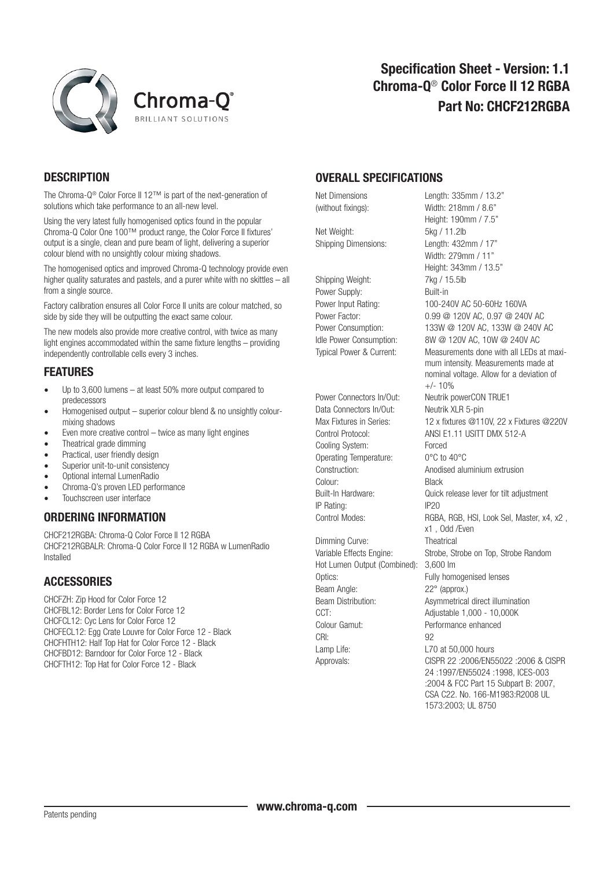



## **DESCRIPTION**

The Chroma-Q® Color Force II 12™ is part of the next-generation of solutions which take performance to an all-new level.

Using the very latest fully homogenised optics found in the popular Chroma-Q Color One 100™ product range, the Color Force II fixtures' output is a single, clean and pure beam of light, delivering a superior colour blend with no unsightly colour mixing shadows.

The homogenised optics and improved Chroma-Q technology provide even higher quality saturates and pastels, and a purer white with no skittles – all from a single source.

Factory calibration ensures all Color Force II units are colour matched, so side by side they will be outputting the exact same colour.

The new models also provide more creative control, with twice as many light engines accommodated within the same fixture lengths – providing independently controllable cells every 3 inches.

#### FEATURES

- Up to 3,600 lumens at least 50% more output compared to predecessors
- Homogenised output superior colour blend & no unsightly colourmixing shadows
- Even more creative control twice as many light engines
- Theatrical grade dimming
- Practical, user friendly design
- Superior unit-to-unit consistency
- Optional internal LumenRadio
- Chroma-Q's proven LED performance
- Touchscreen user interface

#### ORDERING INFORMATION

CHCF212RGBA: Chroma-Q Color Force II 12 RGBA CHCF212RGBALR: Chroma-Q Color Force II 12 RGBA w LumenRadio Installed

#### **ACCESSORIES**

CHCFZH: Zip Hood for Color Force 12 CHCFBL12: Border Lens for Color Force 12 CHCFCL12: Cyc Lens for Color Force 12 CHCFECL12: Egg Crate Louvre for Color Force 12 - Black CHCFHTH12: Half Top Hat for Color Force 12 - Black CHCFBD12: Barndoor for Color Force 12 - Black CHCFTH12: Top Hat for Color Force 12 - Black

### OVERALL SPECIFICATIONS

Net Weight: 5kg / 11.2lb Shipping Dimensions: Length: 432mm / 17"

Shipping Weight: 7kg / 15.5lb Power Supply: Built-in

Power Connectors In/Out: Neutrik powerCON TRUE1 Data Connectors In/Out: Neutrik XLR 5-pin Cooling System: Forced Operating Temperature: 0°C to 40°C Colour: Black IP Rating: IP20

Dimming Curve: Theatrical Hot Lumen Output (Combined): 3,600 lm Optics: Fully homogenised lenses Beam Angle: 22° (approx.) CCT: Adjustable 1.000 - 10.000K Colour Gamut: Performance enhanced CRI: 92 Lamp Life: Lamp Life: L70 at 50,000 hours

Net Dimensions Length: 335mm / 13.2" (without fixings): Width: 218mm / 8.6" Height: 190mm / 7.5" Width: 279mm / 11" Height: 343mm / 13.5" Power Input Rating: 100-240V AC 50-60Hz 160VA Power Factor: 0.99 @ 120V AC, 0.97 @ 240V AC Power Consumption: 133W @ 120V AC, 133W @ 240V AC Idle Power Consumption: 8W @ 120V AC, 10W @ 240V AC Typical Power & Current: Measurements done with all LEDs at maxi mum intensity. Measurements made at nominal voltage. Allow for a deviation of  $+/- 10%$ Max Fixtures in Series: 12 x fixtures @110V, 22 x Fixtures @220V Control Protocol: ANSI E1.11 USITT DMX 512-A Construction: Anodised aluminium extrusion Built-In Hardware: Quick release lever for tilt adjustment Control Modes: RGBA, RGB, HSI, Look Sel, Master, x4, x2 , x1 , Odd /Even Variable Effects Engine: Strobe, Strobe on Top, Strobe Random Beam Distribution: Asymmetrical direct illumination Approvals: CISPR 22 :2006/EN55022 :2006 & CISPR 24 :1997/EN55024 :1998, ICES-003 :2004 & FCC Part 15 Subpart B: 2007, CSA C22. No. 166-M1983:R2008 UL 1573:2003; UL 8750